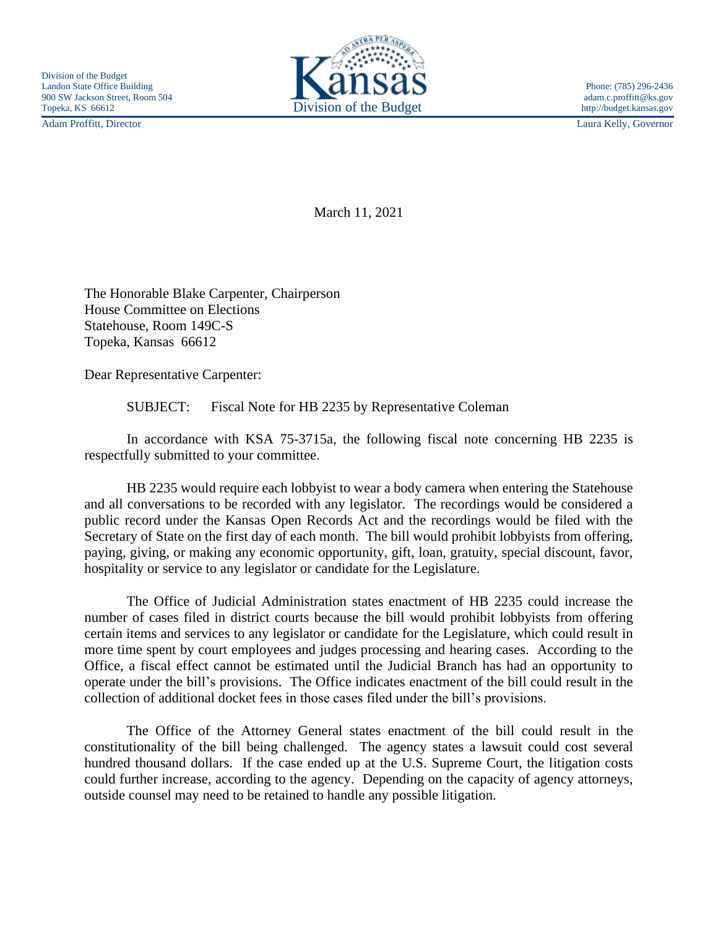Adam Proffitt, Director Laura Kelly, Governor



March 11, 2021

The Honorable Blake Carpenter, Chairperson House Committee on Elections Statehouse, Room 149C-S Topeka, Kansas 66612

Dear Representative Carpenter:

SUBJECT: Fiscal Note for HB 2235 by Representative Coleman

In accordance with KSA 75-3715a, the following fiscal note concerning HB 2235 is respectfully submitted to your committee.

HB 2235 would require each lobbyist to wear a body camera when entering the Statehouse and all conversations to be recorded with any legislator. The recordings would be considered a public record under the Kansas Open Records Act and the recordings would be filed with the Secretary of State on the first day of each month. The bill would prohibit lobbyists from offering, paying, giving, or making any economic opportunity, gift, loan, gratuity, special discount, favor, hospitality or service to any legislator or candidate for the Legislature.

The Office of Judicial Administration states enactment of HB 2235 could increase the number of cases filed in district courts because the bill would prohibit lobbyists from offering certain items and services to any legislator or candidate for the Legislature, which could result in more time spent by court employees and judges processing and hearing cases. According to the Office, a fiscal effect cannot be estimated until the Judicial Branch has had an opportunity to operate under the bill's provisions. The Office indicates enactment of the bill could result in the collection of additional docket fees in those cases filed under the bill's provisions.

The Office of the Attorney General states enactment of the bill could result in the constitutionality of the bill being challenged. The agency states a lawsuit could cost several hundred thousand dollars. If the case ended up at the U.S. Supreme Court, the litigation costs could further increase, according to the agency. Depending on the capacity of agency attorneys, outside counsel may need to be retained to handle any possible litigation.